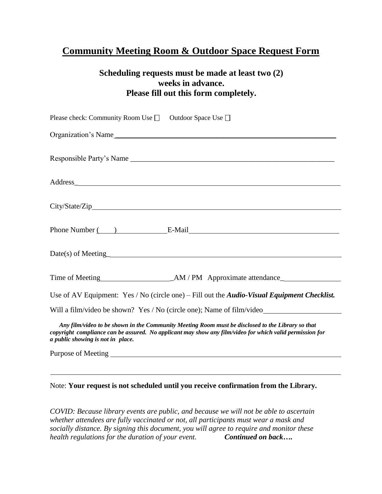## **Community Meeting Room & Outdoor Space Request Form**

## **Scheduling requests must be made at least two (2) weeks in advance. Please fill out this form completely.**

| Please check: Community Room Use $\Box$ Outdoor Space Use $\Box$                                                                                                                                                                                   |
|----------------------------------------------------------------------------------------------------------------------------------------------------------------------------------------------------------------------------------------------------|
| Organization's Name                                                                                                                                                                                                                                |
|                                                                                                                                                                                                                                                    |
| Address_                                                                                                                                                                                                                                           |
|                                                                                                                                                                                                                                                    |
| Phone Number ( ) E-Mail E-Mail                                                                                                                                                                                                                     |
|                                                                                                                                                                                                                                                    |
|                                                                                                                                                                                                                                                    |
| Use of AV Equipment: Yes / No (circle one) – Fill out the <i>Audio-Visual Equipment Checklist</i> .                                                                                                                                                |
| Will a film/video be shown? Yes / No (circle one); Name of film/video____________                                                                                                                                                                  |
| Any film/video to be shown in the Community Meeting Room must be disclosed to the Library so that<br>copyright compliance can be assured. No applicant may show any film/video for which valid permission for<br>a public showing is not in place. |
|                                                                                                                                                                                                                                                    |

## Note: **Your request is not scheduled until you receive confirmation from the Library.**

*COVID: Because library events are public, and because we will not be able to ascertain whether attendees are fully vaccinated or not, all participants must wear a mask and socially distance. By signing this document, you will agree to require and monitor these health regulations for the duration of your event. Continued on back….*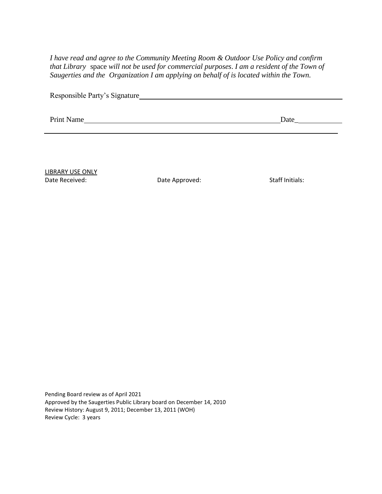*I have read and agree to the Community Meeting Room & Outdoor Use Policy and confirm that Library* space *will not be used for commercial purposes*. *I am a resident of the Town of Saugerties and the Organization I am applying on behalf of is located within the Town.*

| Responsible Party's Signature |  |
|-------------------------------|--|
|                               |  |

Print Name Date Date Development of the United States and Date Date Date Date Date Date Date Development of the United States of the United States of the United States of the United States of the United States of the Unite

LIBRARY USE ONLY Date Received: Case Case Cate Approved: Cate Approved: Staff Initials:

Pending Board review as of April 2021 Approved by the Saugerties Public Library board on December 14, 2010 Review History: August 9, 2011; December 13, 2011 (WOH) Review Cycle: 3 years